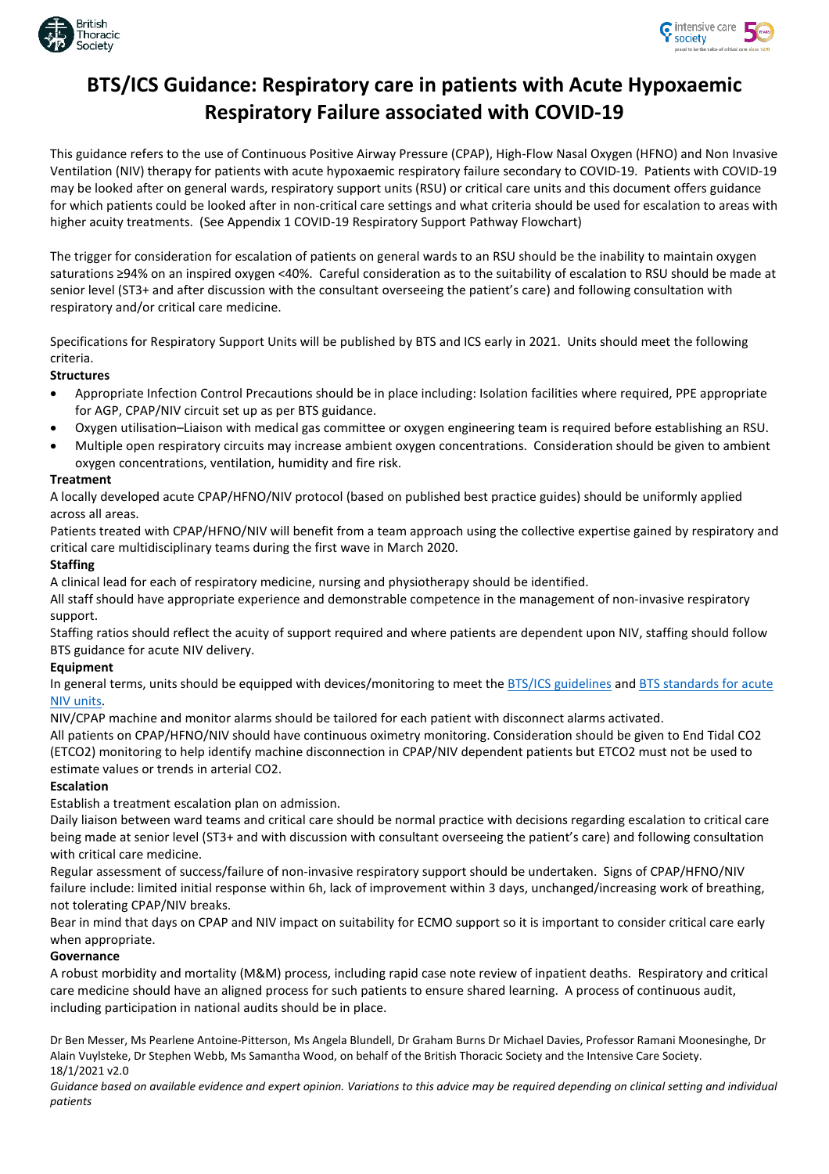



## **BTS/ICS Guidance: Respiratory care in patients with Acute Hypoxaemic Respiratory Failure associated with COVID-19**

This guidance refers to the use of Continuous Positive Airway Pressure (CPAP), High-Flow Nasal Oxygen (HFNO) and Non Invasive Ventilation (NIV) therapy for patients with acute hypoxaemic respiratory failure secondary to COVID-19. Patients with COVID-19 may be looked after on general wards, respiratory support units (RSU) or critical care units and this document offers guidance for which patients could be looked after in non-critical care settings and what criteria should be used for escalation to areas with higher acuity treatments. (See Appendix 1 COVID-19 Respiratory Support Pathway Flowchart)

The trigger for consideration for escalation of patients on general wards to an RSU should be the inability to maintain oxygen saturations ≥94% on an inspired oxygen <40%. Careful consideration as to the suitability of escalation to RSU should be made at senior level (ST3+ and after discussion with the consultant overseeing the patient's care) and following consultation with respiratory and/or critical care medicine.

Specifications for Respiratory Support Units will be published by BTS and ICS early in 2021. Units should meet the following criteria.

#### **Structures**

- Appropriate Infection Control Precautions should be in place including: Isolation facilities where required, PPE appropriate for AGP, CPAP/NIV circuit set up as per BTS guidance.
- Oxygen utilisation–Liaison with medical gas committee or oxygen engineering team is required before establishing an RSU.
- Multiple open respiratory circuits may increase ambient oxygen concentrations. Consideration should be given to ambient oxygen concentrations, ventilation, humidity and fire risk.

#### **Treatment**

A locally developed acute CPAP/HFNO/NIV protocol (based on published best practice guides) should be uniformly applied across all areas.

Patients treated with CPAP/HFNO/NIV will benefit from a team approach using the collective expertise gained by respiratory and critical care multidisciplinary teams during the first wave in March 2020.

#### **Staffing**

A clinical lead for each of respiratory medicine, nursing and physiotherapy should be identified.

All staff should have appropriate experience and demonstrable competence in the management of non-invasive respiratory support.

Staffing ratios should reflect the acuity of support required and where patients are dependent upon NIV, staffing should follow BTS guidance for acute NIV delivery.

### **Equipment**

In general terms, units should be equipped with devices/monitoring to meet th[e BTS/ICS guidelines](https://www.brit-thoracic.org.uk/quality-improvement/guidelines/niv/) and BTS standards for acute [NIV units.](https://www.brit-thoracic.org.uk/quality-improvement/quality-standards/niv/)

NIV/CPAP machine and monitor alarms should be tailored for each patient with disconnect alarms activated.

All patients on CPAP/HFNO/NIV should have continuous oximetry monitoring. Consideration should be given to End Tidal CO2 (ETCO2) monitoring to help identify machine disconnection in CPAP/NIV dependent patients but ETCO2 must not be used to estimate values or trends in arterial CO2.

### **Escalation**

Establish a treatment escalation plan on admission.

Daily liaison between ward teams and critical care should be normal practice with decisions regarding escalation to critical care being made at senior level (ST3+ and with discussion with consultant overseeing the patient's care) and following consultation with critical care medicine.

Regular assessment of success/failure of non-invasive respiratory support should be undertaken. Signs of CPAP/HFNO/NIV failure include: limited initial response within 6h, lack of improvement within 3 days, unchanged/increasing work of breathing, not tolerating CPAP/NIV breaks.

Bear in mind that days on CPAP and NIV impact on suitability for ECMO support so it is important to consider critical care early when appropriate.

### **Governance**

A robust morbidity and mortality (M&M) process, including rapid case note review of inpatient deaths. Respiratory and critical care medicine should have an aligned process for such patients to ensure shared learning. A process of continuous audit, including participation in national audits should be in place.

Dr Ben Messer, Ms Pearlene Antoine-Pitterson, Ms Angela Blundell, Dr Graham Burns Dr Michael Davies, Professor Ramani Moonesinghe, Dr Alain Vuylsteke, Dr Stephen Webb, Ms Samantha Wood, on behalf of the British Thoracic Society and the Intensive Care Society. 18/1/2021 v2.0

*Guidance based on available evidence and expert opinion. Variations to this advice may be required depending on clinical setting and individual patients*